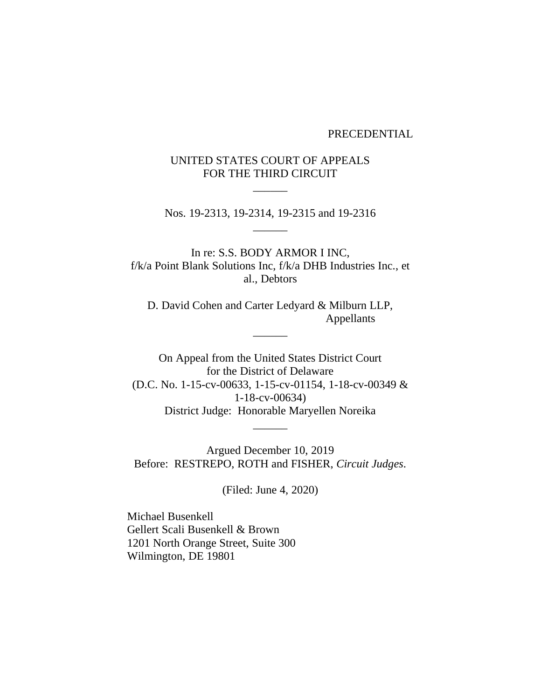#### PRECEDENTIAL

# UNITED STATES COURT OF APPEALS FOR THE THIRD CIRCUIT

 $\overline{\phantom{a}}$ 

Nos. 19-2313, 19-2314, 19-2315 and 19-2316  $\overline{\phantom{a}}$ 

In re: S.S. BODY ARMOR I INC, f/k/a Point Blank Solutions Inc, f/k/a DHB Industries Inc., et al., Debtors

D. David Cohen and Carter Ledyard & Milburn LLP, Appellants

 $\overline{\phantom{a}}$ 

On Appeal from the United States District Court for the District of Delaware (D.C. No. 1-15-cv-00633, 1-15-cv-01154, 1-18-cv-00349 & 1-18-cv-00634) District Judge: Honorable Maryellen Noreika

 $\overline{\phantom{a}}$ 

Argued December 10, 2019 Before: RESTREPO, ROTH and FISHER, *Circuit Judges*.

(Filed: June 4, 2020)

Michael Busenkell Gellert Scali Busenkell & Brown 1201 North Orange Street, Suite 300 Wilmington, DE 19801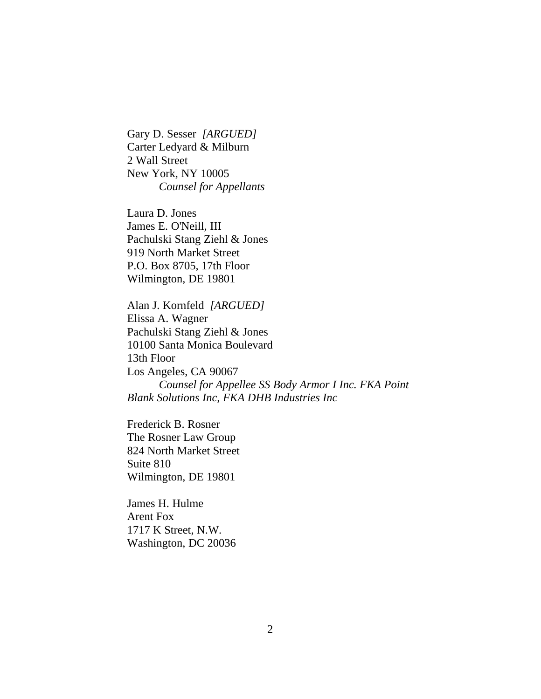Gary D. Sesser *[ARGUED]* Carter Ledyard & Milburn 2 Wall Street New York, NY 10005 *Counsel for Appellants*

Laura D. Jones James E. O'Neill, III Pachulski Stang Ziehl & Jones 919 North Market Street P.O. Box 8705, 17th Floor Wilmington, DE 19801

Alan J. Kornfeld *[ARGUED]* Elissa A. Wagner Pachulski Stang Ziehl & Jones 10100 Santa Monica Boulevard 13th Floor Los Angeles, CA 90067 *Counsel for Appellee SS Body Armor I Inc. FKA Point Blank Solutions Inc, FKA DHB Industries Inc*

Frederick B. Rosner The Rosner Law Group 824 North Market Street Suite 810 Wilmington, DE 19801

James H. Hulme Arent Fox 1717 K Street, N.W. Washington, DC 20036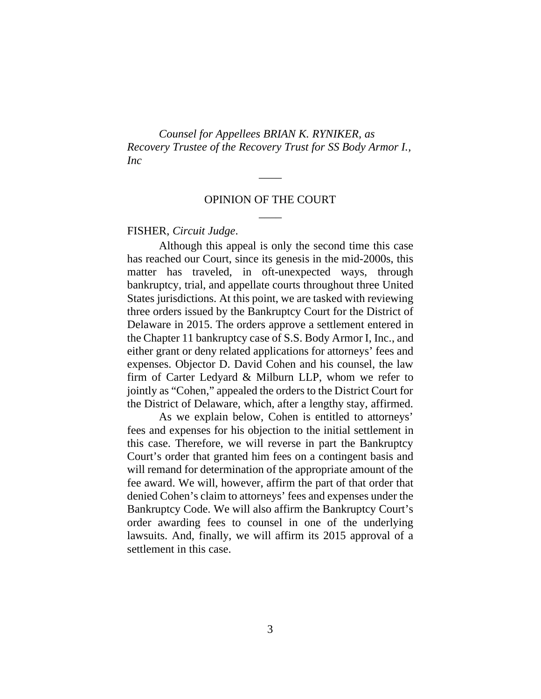*Counsel for Appellees BRIAN K. RYNIKER, as Recovery Trustee of the Recovery Trust for SS Body Armor I., Inc*

# OPINION OF THE COURT  $\overline{\phantom{a}}$

 $\overline{\phantom{a}}$ 

#### FISHER, *Circuit Judge*.

Although this appeal is only the second time this case has reached our Court, since its genesis in the mid-2000s, this matter has traveled, in oft-unexpected ways, through bankruptcy, trial, and appellate courts throughout three United States jurisdictions. At this point, we are tasked with reviewing three orders issued by the Bankruptcy Court for the District of Delaware in 2015. The orders approve a settlement entered in the Chapter 11 bankruptcy case of S.S. Body Armor I, Inc., and either grant or deny related applications for attorneys' fees and expenses. Objector D. David Cohen and his counsel, the law firm of Carter Ledyard & Milburn LLP, whom we refer to jointly as "Cohen," appealed the orders to the District Court for the District of Delaware, which, after a lengthy stay, affirmed.

As we explain below, Cohen is entitled to attorneys' fees and expenses for his objection to the initial settlement in this case. Therefore, we will reverse in part the Bankruptcy Court's order that granted him fees on a contingent basis and will remand for determination of the appropriate amount of the fee award. We will, however, affirm the part of that order that denied Cohen's claim to attorneys' fees and expenses under the Bankruptcy Code. We will also affirm the Bankruptcy Court's order awarding fees to counsel in one of the underlying lawsuits. And, finally, we will affirm its 2015 approval of a settlement in this case.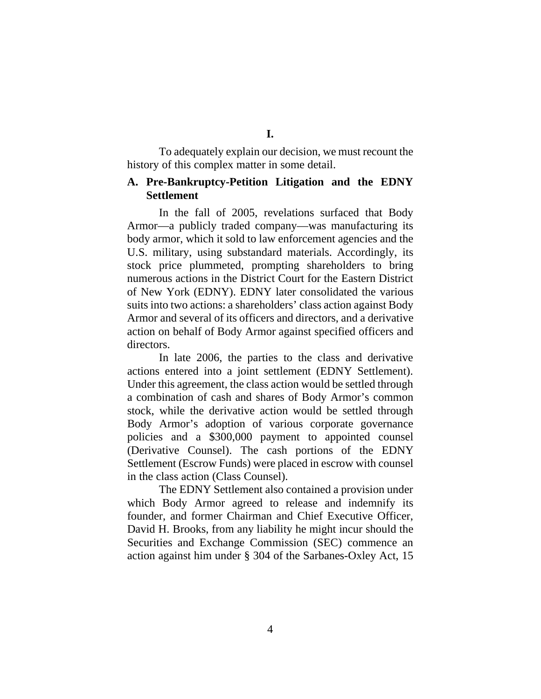To adequately explain our decision, we must recount the history of this complex matter in some detail.

## **A. Pre-Bankruptcy-Petition Litigation and the EDNY Settlement**

In the fall of 2005, revelations surfaced that Body Armor—a publicly traded company—was manufacturing its body armor, which it sold to law enforcement agencies and the U.S. military, using substandard materials. Accordingly, its stock price plummeted, prompting shareholders to bring numerous actions in the District Court for the Eastern District of New York (EDNY). EDNY later consolidated the various suits into two actions: a shareholders' class action against Body Armor and several of its officers and directors, and a derivative action on behalf of Body Armor against specified officers and directors.

In late 2006, the parties to the class and derivative actions entered into a joint settlement (EDNY Settlement). Under this agreement, the class action would be settled through a combination of cash and shares of Body Armor's common stock, while the derivative action would be settled through Body Armor's adoption of various corporate governance policies and a \$300,000 payment to appointed counsel (Derivative Counsel). The cash portions of the EDNY Settlement (Escrow Funds) were placed in escrow with counsel in the class action (Class Counsel).

The EDNY Settlement also contained a provision under which Body Armor agreed to release and indemnify its founder, and former Chairman and Chief Executive Officer, David H. Brooks, from any liability he might incur should the Securities and Exchange Commission (SEC) commence an action against him under § 304 of the Sarbanes-Oxley Act, 15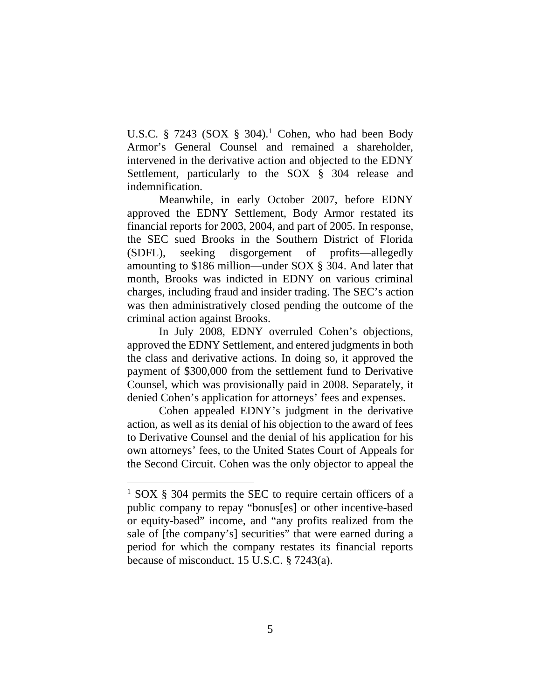U.S.C. § 7243 (SOX § 304).<sup>1</sup> Cohen, who had been Body Armor's General Counsel and remained a shareholder, intervened in the derivative action and objected to the EDNY Settlement, particularly to the SOX § 304 release and indemnification.

Meanwhile, in early October 2007, before EDNY approved the EDNY Settlement, Body Armor restated its financial reports for 2003, 2004, and part of 2005. In response, the SEC sued Brooks in the Southern District of Florida (SDFL), seeking disgorgement of profits—allegedly amounting to \$186 million—under SOX § 304. And later that month, Brooks was indicted in EDNY on various criminal charges, including fraud and insider trading. The SEC's action was then administratively closed pending the outcome of the criminal action against Brooks.

In July 2008, EDNY overruled Cohen's objections, approved the EDNY Settlement, and entered judgments in both the class and derivative actions. In doing so, it approved the payment of \$300,000 from the settlement fund to Derivative Counsel, which was provisionally paid in 2008. Separately, it denied Cohen's application for attorneys' fees and expenses.

Cohen appealed EDNY's judgment in the derivative action, as well as its denial of his objection to the award of fees to Derivative Counsel and the denial of his application for his own attorneys' fees, to the United States Court of Appeals for the Second Circuit. Cohen was the only objector to appeal the

<sup>&</sup>lt;sup>1</sup> SOX § 304 permits the SEC to require certain officers of a public company to repay "bonus[es] or other incentive-based or equity-based" income, and "any profits realized from the sale of [the company's] securities" that were earned during a period for which the company restates its financial reports because of misconduct. 15 U.S.C. § 7243(a).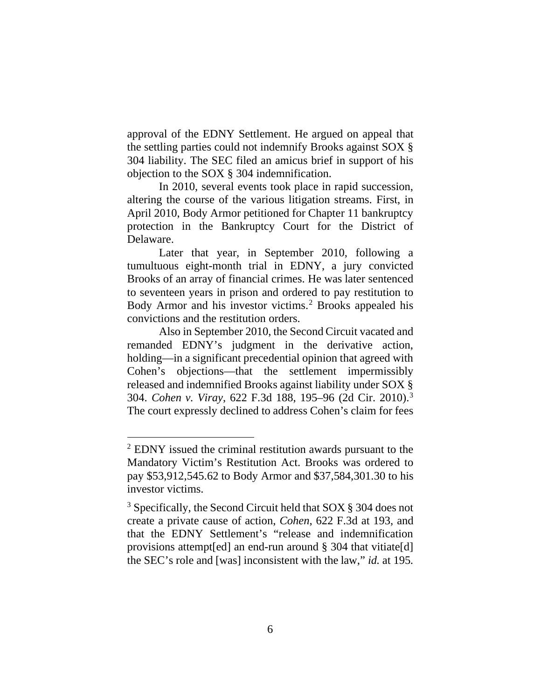approval of the EDNY Settlement. He argued on appeal that the settling parties could not indemnify Brooks against SOX § 304 liability. The SEC filed an amicus brief in support of his objection to the SOX § 304 indemnification.

In 2010, several events took place in rapid succession, altering the course of the various litigation streams. First, in April 2010, Body Armor petitioned for Chapter 11 bankruptcy protection in the Bankruptcy Court for the District of Delaware.

Later that year, in September 2010, following a tumultuous eight-month trial in EDNY, a jury convicted Brooks of an array of financial crimes. He was later sentenced to seventeen years in prison and ordered to pay restitution to Body Armor and his investor victims.<sup>2</sup> Brooks appealed his convictions and the restitution orders.

Also in September 2010, the Second Circuit vacated and remanded EDNY's judgment in the derivative action, holding—in a significant precedential opinion that agreed with Cohen's objections—that the settlement impermissibly released and indemnified Brooks against liability under SOX § 304. *Cohen v. Viray*, 622 F.3d 188, 195–96 (2d Cir. 2010).3 The court expressly declined to address Cohen's claim for fees

<sup>2</sup> EDNY issued the criminal restitution awards pursuant to the Mandatory Victim's Restitution Act. Brooks was ordered to pay \$53,912,545.62 to Body Armor and \$37,584,301.30 to his investor victims.

<sup>3</sup> Specifically, the Second Circuit held that SOX § 304 does not create a private cause of action, *Cohen*, 622 F.3d at 193, and that the EDNY Settlement's "release and indemnification provisions attempt[ed] an end-run around § 304 that vitiate[d] the SEC's role and [was] inconsistent with the law," *id.* at 195.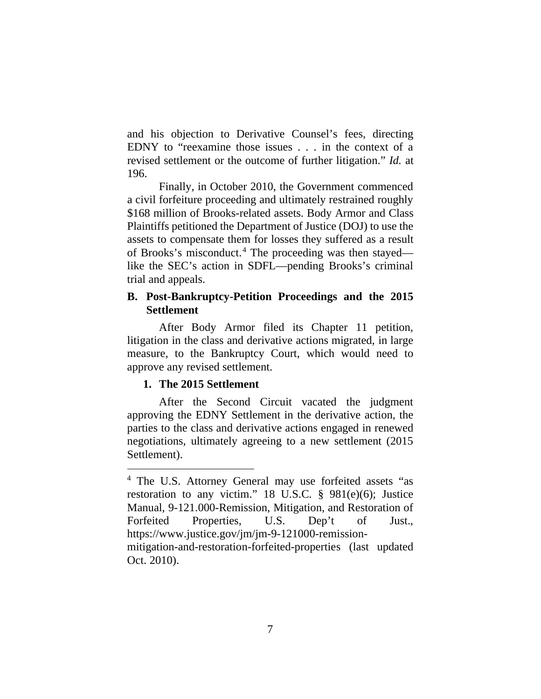and his objection to Derivative Counsel's fees, directing EDNY to "reexamine those issues . . . in the context of a revised settlement or the outcome of further litigation." *Id.* at 196.

Finally, in October 2010, the Government commenced a civil forfeiture proceeding and ultimately restrained roughly \$168 million of Brooks-related assets. Body Armor and Class Plaintiffs petitioned the Department of Justice (DOJ) to use the assets to compensate them for losses they suffered as a result of Brooks's misconduct.4 The proceeding was then stayed like the SEC's action in SDFL—pending Brooks's criminal trial and appeals.

## **B. Post-Bankruptcy-Petition Proceedings and the 2015 Settlement**

After Body Armor filed its Chapter 11 petition, litigation in the class and derivative actions migrated, in large measure, to the Bankruptcy Court, which would need to approve any revised settlement.

## **1. The 2015 Settlement**

After the Second Circuit vacated the judgment approving the EDNY Settlement in the derivative action, the parties to the class and derivative actions engaged in renewed negotiations, ultimately agreeing to a new settlement (2015 Settlement).

<sup>4</sup> The U.S. Attorney General may use forfeited assets "as restoration to any victim." 18 U.S.C. § 981(e)(6); Justice Manual, 9-121.000-Remission, Mitigation, and Restoration of Forfeited Properties, U.S. Dep't of Just., https://www.justice.gov/jm/jm-9-121000-remissionmitigation-and-restoration-forfeited-properties (last updated Oct. 2010).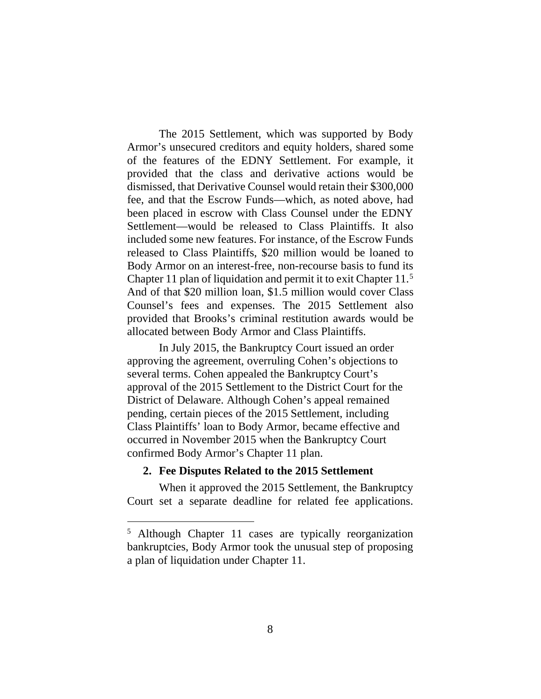The 2015 Settlement, which was supported by Body Armor's unsecured creditors and equity holders, shared some of the features of the EDNY Settlement. For example, it provided that the class and derivative actions would be dismissed, that Derivative Counsel would retain their \$300,000 fee, and that the Escrow Funds—which, as noted above, had been placed in escrow with Class Counsel under the EDNY Settlement—would be released to Class Plaintiffs. It also included some new features. For instance, of the Escrow Funds released to Class Plaintiffs, \$20 million would be loaned to Body Armor on an interest-free, non-recourse basis to fund its Chapter 11 plan of liquidation and permit it to exit Chapter 11.5 And of that \$20 million loan, \$1.5 million would cover Class Counsel's fees and expenses. The 2015 Settlement also provided that Brooks's criminal restitution awards would be allocated between Body Armor and Class Plaintiffs.

In July 2015, the Bankruptcy Court issued an order approving the agreement, overruling Cohen's objections to several terms. Cohen appealed the Bankruptcy Court's approval of the 2015 Settlement to the District Court for the District of Delaware. Although Cohen's appeal remained pending, certain pieces of the 2015 Settlement, including Class Plaintiffs' loan to Body Armor, became effective and occurred in November 2015 when the Bankruptcy Court confirmed Body Armor's Chapter 11 plan.

#### **2. Fee Disputes Related to the 2015 Settlement**

When it approved the 2015 Settlement, the Bankruptcy Court set a separate deadline for related fee applications.

<sup>5</sup> Although Chapter 11 cases are typically reorganization bankruptcies, Body Armor took the unusual step of proposing a plan of liquidation under Chapter 11.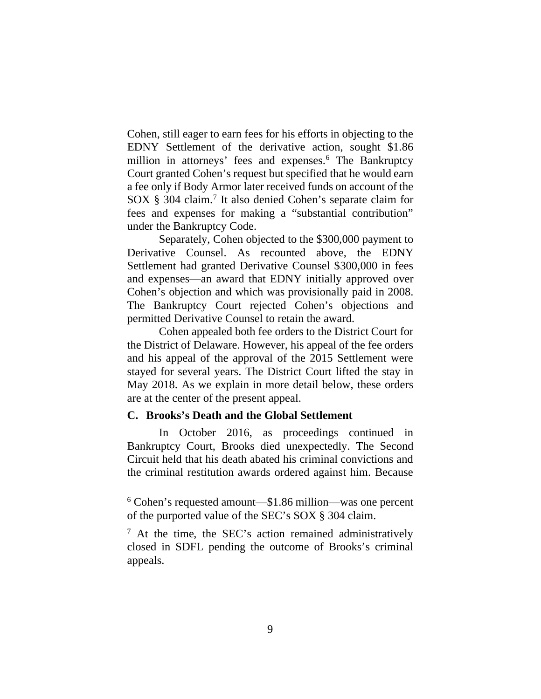Cohen, still eager to earn fees for his efforts in objecting to the EDNY Settlement of the derivative action, sought \$1.86 million in attorneys' fees and expenses.<sup>6</sup> The Bankruptcy Court granted Cohen's request but specified that he would earn a fee only if Body Armor later received funds on account of the SOX § 304 claim.7 It also denied Cohen's separate claim for fees and expenses for making a "substantial contribution" under the Bankruptcy Code.

Separately, Cohen objected to the \$300,000 payment to Derivative Counsel. As recounted above, the EDNY Settlement had granted Derivative Counsel \$300,000 in fees and expenses—an award that EDNY initially approved over Cohen's objection and which was provisionally paid in 2008. The Bankruptcy Court rejected Cohen's objections and permitted Derivative Counsel to retain the award.

Cohen appealed both fee orders to the District Court for the District of Delaware. However, his appeal of the fee orders and his appeal of the approval of the 2015 Settlement were stayed for several years. The District Court lifted the stay in May 2018. As we explain in more detail below, these orders are at the center of the present appeal.

### **C. Brooks's Death and the Global Settlement**

In October 2016, as proceedings continued in Bankruptcy Court, Brooks died unexpectedly. The Second Circuit held that his death abated his criminal convictions and the criminal restitution awards ordered against him. Because

<sup>6</sup> Cohen's requested amount—\$1.86 million—was one percent of the purported value of the SEC's SOX § 304 claim.

 $<sup>7</sup>$  At the time, the SEC's action remained administratively</sup> closed in SDFL pending the outcome of Brooks's criminal appeals.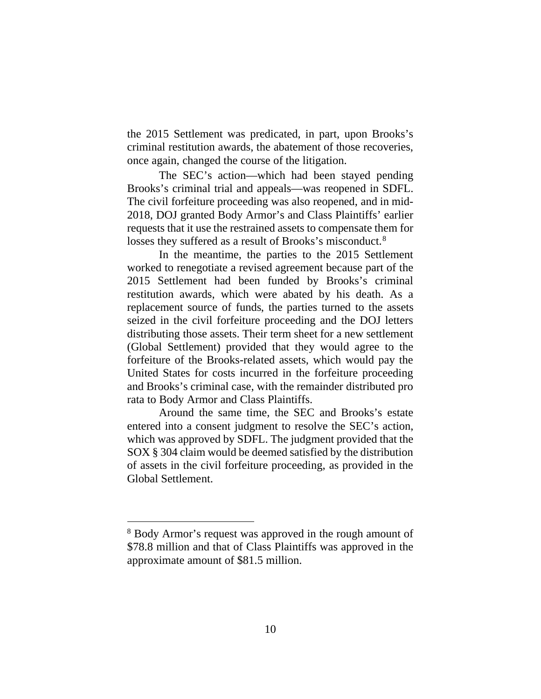the 2015 Settlement was predicated, in part, upon Brooks's criminal restitution awards, the abatement of those recoveries, once again, changed the course of the litigation.

The SEC's action—which had been stayed pending Brooks's criminal trial and appeals—was reopened in SDFL. The civil forfeiture proceeding was also reopened, and in mid-2018, DOJ granted Body Armor's and Class Plaintiffs' earlier requests that it use the restrained assets to compensate them for losses they suffered as a result of Brooks's misconduct.<sup>8</sup>

In the meantime, the parties to the 2015 Settlement worked to renegotiate a revised agreement because part of the 2015 Settlement had been funded by Brooks's criminal restitution awards, which were abated by his death. As a replacement source of funds, the parties turned to the assets seized in the civil forfeiture proceeding and the DOJ letters distributing those assets. Their term sheet for a new settlement (Global Settlement) provided that they would agree to the forfeiture of the Brooks-related assets, which would pay the United States for costs incurred in the forfeiture proceeding and Brooks's criminal case, with the remainder distributed pro rata to Body Armor and Class Plaintiffs.

Around the same time, the SEC and Brooks's estate entered into a consent judgment to resolve the SEC's action, which was approved by SDFL. The judgment provided that the SOX § 304 claim would be deemed satisfied by the distribution of assets in the civil forfeiture proceeding, as provided in the Global Settlement.

<sup>8</sup> Body Armor's request was approved in the rough amount of \$78.8 million and that of Class Plaintiffs was approved in the approximate amount of \$81.5 million.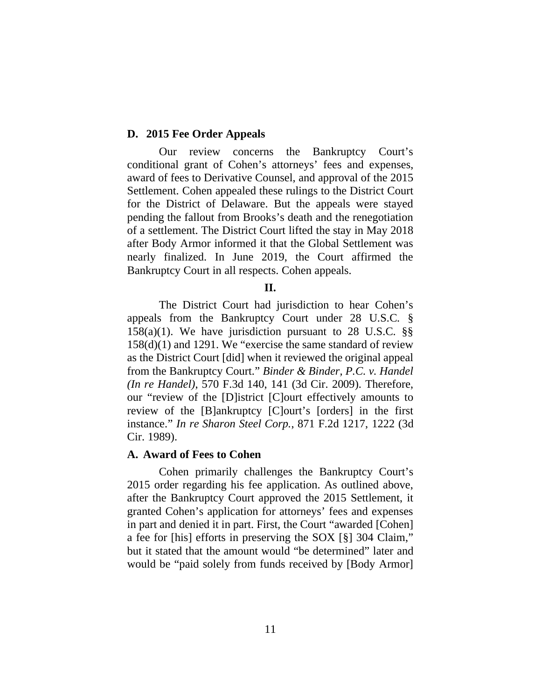#### **D. 2015 Fee Order Appeals**

Our review concerns the Bankruptcy Court's conditional grant of Cohen's attorneys' fees and expenses, award of fees to Derivative Counsel, and approval of the 2015 Settlement. Cohen appealed these rulings to the District Court for the District of Delaware. But the appeals were stayed pending the fallout from Brooks's death and the renegotiation of a settlement. The District Court lifted the stay in May 2018 after Body Armor informed it that the Global Settlement was nearly finalized. In June 2019, the Court affirmed the Bankruptcy Court in all respects. Cohen appeals.

**II.**

The District Court had jurisdiction to hear Cohen's appeals from the Bankruptcy Court under 28 U.S.C. § 158(a)(1). We have jurisdiction pursuant to 28 U.S.C. §§ 158(d)(1) and 1291. We "exercise the same standard of review as the District Court [did] when it reviewed the original appeal from the Bankruptcy Court." *Binder & Binder, P.C. v. Handel (In re Handel)*, 570 F.3d 140, 141 (3d Cir. 2009). Therefore, our "review of the [D]istrict [C]ourt effectively amounts to review of the [B]ankruptcy [C]ourt's [orders] in the first instance." *In re Sharon Steel Corp.*, 871 F.2d 1217, 1222 (3d Cir. 1989).

#### **A. Award of Fees to Cohen**

Cohen primarily challenges the Bankruptcy Court's 2015 order regarding his fee application. As outlined above, after the Bankruptcy Court approved the 2015 Settlement, it granted Cohen's application for attorneys' fees and expenses in part and denied it in part. First, the Court "awarded [Cohen] a fee for [his] efforts in preserving the SOX [§] 304 Claim," but it stated that the amount would "be determined" later and would be "paid solely from funds received by [Body Armor]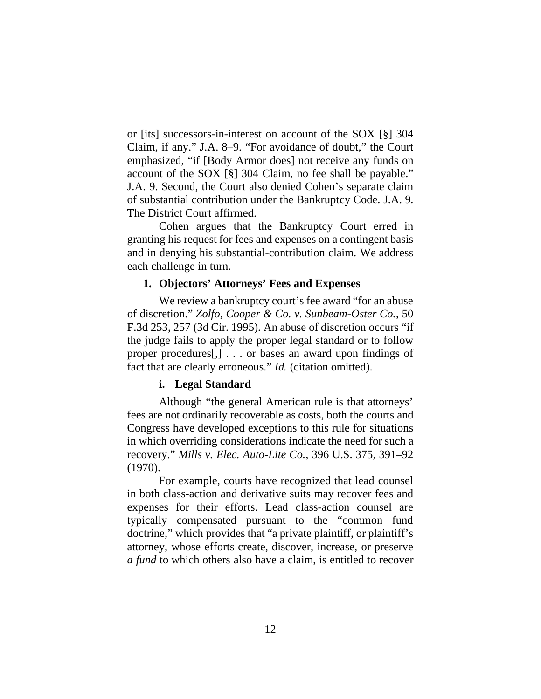or [its] successors-in-interest on account of the SOX [§] 304 Claim, if any." J.A. 8–9. "For avoidance of doubt," the Court emphasized, "if [Body Armor does] not receive any funds on account of the SOX [§] 304 Claim, no fee shall be payable." J.A. 9. Second, the Court also denied Cohen's separate claim of substantial contribution under the Bankruptcy Code. J.A. 9. The District Court affirmed.

Cohen argues that the Bankruptcy Court erred in granting his request for fees and expenses on a contingent basis and in denying his substantial-contribution claim. We address each challenge in turn.

## **1. Objectors' Attorneys' Fees and Expenses**

We review a bankruptcy court's fee award "for an abuse of discretion." *Zolfo, Cooper & Co. v. Sunbeam-Oster Co.*, 50 F.3d 253, 257 (3d Cir. 1995). An abuse of discretion occurs "if the judge fails to apply the proper legal standard or to follow proper procedures[,] . . . or bases an award upon findings of fact that are clearly erroneous." *Id.* (citation omitted).

## **i. Legal Standard**

Although "the general American rule is that attorneys' fees are not ordinarily recoverable as costs, both the courts and Congress have developed exceptions to this rule for situations in which overriding considerations indicate the need for such a recovery." *Mills v. Elec. Auto-Lite Co.*, 396 U.S. 375, 391–92 (1970).

For example, courts have recognized that lead counsel in both class-action and derivative suits may recover fees and expenses for their efforts. Lead class-action counsel are typically compensated pursuant to the "common fund doctrine," which provides that "a private plaintiff, or plaintiff's attorney, whose efforts create, discover, increase, or preserve *a fund* to which others also have a claim, is entitled to recover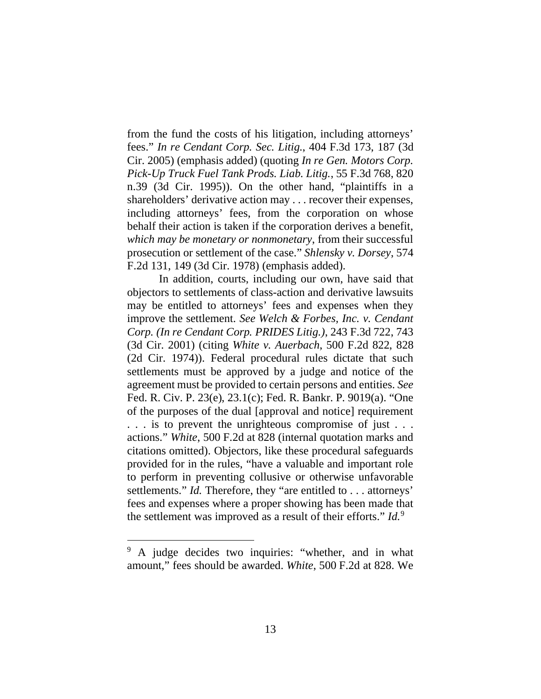from the fund the costs of his litigation, including attorneys' fees." *In re Cendant Corp. Sec. Litig.*, 404 F.3d 173, 187 (3d Cir. 2005) (emphasis added) (quoting *In re Gen. Motors Corp. Pick-Up Truck Fuel Tank Prods. Liab. Litig.*, 55 F.3d 768, 820 n.39 (3d Cir. 1995)). On the other hand, "plaintiffs in a shareholders' derivative action may . . . recover their expenses, including attorneys' fees, from the corporation on whose behalf their action is taken if the corporation derives a benefit, *which may be monetary or nonmonetary*, from their successful prosecution or settlement of the case." *Shlensky v. Dorsey*, 574 F.2d 131, 149 (3d Cir. 1978) (emphasis added).

In addition, courts, including our own, have said that objectors to settlements of class-action and derivative lawsuits may be entitled to attorneys' fees and expenses when they improve the settlement. *See Welch & Forbes, Inc. v. Cendant Corp. (In re Cendant Corp. PRIDES Litig.)*, 243 F.3d 722, 743 (3d Cir. 2001) (citing *White v. Auerbach*, 500 F.2d 822, 828 (2d Cir. 1974)). Federal procedural rules dictate that such settlements must be approved by a judge and notice of the agreement must be provided to certain persons and entities. *See*  Fed. R. Civ. P. 23(e), 23.1(c); Fed. R. Bankr. P. 9019(a). "One of the purposes of the dual [approval and notice] requirement . . . is to prevent the unrighteous compromise of just . . . actions." *White*, 500 F.2d at 828 (internal quotation marks and citations omitted). Objectors, like these procedural safeguards provided for in the rules, "have a valuable and important role to perform in preventing collusive or otherwise unfavorable settlements." *Id.* Therefore, they "are entitled to . . . attorneys' fees and expenses where a proper showing has been made that the settlement was improved as a result of their efforts." *Id.*<sup>9</sup>

<sup>&</sup>lt;sup>9</sup> A judge decides two inquiries: "whether, and in what amount," fees should be awarded. *White*, 500 F.2d at 828. We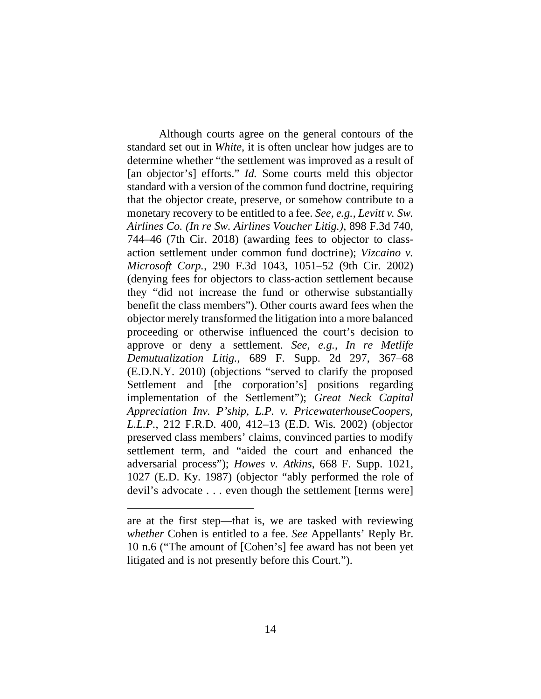Although courts agree on the general contours of the standard set out in *White*, it is often unclear how judges are to determine whether "the settlement was improved as a result of [an objector's] efforts." *Id.* Some courts meld this objector standard with a version of the common fund doctrine, requiring that the objector create, preserve, or somehow contribute to a monetary recovery to be entitled to a fee. *See, e.g.*, *Levitt v. Sw. Airlines Co. (In re Sw. Airlines Voucher Litig.)*, 898 F.3d 740, 744–46 (7th Cir. 2018) (awarding fees to objector to classaction settlement under common fund doctrine); *Vizcaino v. Microsoft Corp.*, 290 F.3d 1043, 1051–52 (9th Cir. 2002) (denying fees for objectors to class-action settlement because they "did not increase the fund or otherwise substantially benefit the class members"). Other courts award fees when the objector merely transformed the litigation into a more balanced proceeding or otherwise influenced the court's decision to approve or deny a settlement. *See, e.g.*, *In re Metlife Demutualization Litig.*, 689 F. Supp. 2d 297, 367–68 (E.D.N.Y. 2010) (objections "served to clarify the proposed Settlement and [the corporation's] positions regarding implementation of the Settlement"); *Great Neck Capital Appreciation Inv. P'ship, L.P. v. PricewaterhouseCoopers, L.L.P.*, 212 F.R.D. 400, 412–13 (E.D. Wis. 2002) (objector preserved class members' claims, convinced parties to modify settlement term, and "aided the court and enhanced the adversarial process"); *Howes v. Atkins*, 668 F. Supp. 1021, 1027 (E.D. Ky. 1987) (objector "ably performed the role of devil's advocate . . . even though the settlement [terms were]

are at the first step—that is, we are tasked with reviewing *whether* Cohen is entitled to a fee. *See* Appellants' Reply Br. 10 n.6 ("The amount of [Cohen's] fee award has not been yet litigated and is not presently before this Court.").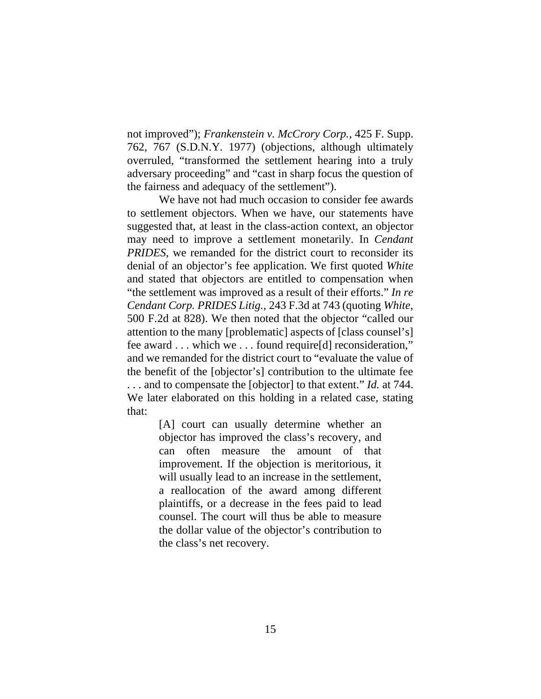not improved"); *Frankenstein v. McCrory Corp.*, 425 F. Supp. 762, 767 (S.D.N.Y. 1977) (objections, although ultimately overruled, "transformed the settlement hearing into a truly adversary proceeding" and "cast in sharp focus the question of the fairness and adequacy of the settlement").

We have not had much occasion to consider fee awards to settlement objectors. When we have, our statements have suggested that, at least in the class-action context, an objector may need to improve a settlement monetarily. In *Cendant PRIDES*, we remanded for the district court to reconsider its denial of an objector's fee application. We first quoted *White* and stated that objectors are entitled to compensation when "the settlement was improved as a result of their efforts." *In re Cendant Corp. PRIDES Litig.*, 243 F.3d at 743 (quoting *White*, 500 F.2d at 828). We then noted that the objector "called our attention to the many [problematic] aspects of [class counsel's] fee award . . . which we . . . found require[d] reconsideration," and we remanded for the district court to "evaluate the value of the benefit of the [objector's] contribution to the ultimate fee . . . and to compensate the [objector] to that extent." *Id.* at 744. We later elaborated on this holding in a related case, stating that:

> [A] court can usually determine whether an objector has improved the class's recovery, and can often measure the amount of that improvement. If the objection is meritorious, it will usually lead to an increase in the settlement, a reallocation of the award among different plaintiffs, or a decrease in the fees paid to lead counsel. The court will thus be able to measure the dollar value of the objector's contribution to the class's net recovery.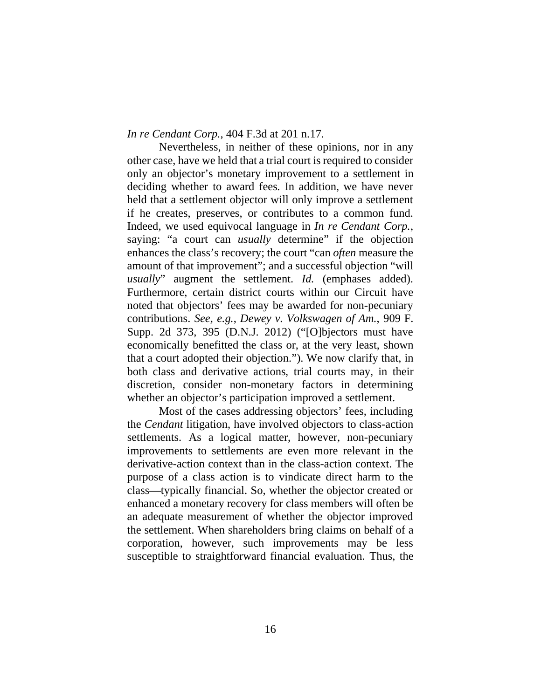*In re Cendant Corp.*, 404 F.3d at 201 n.17.

Nevertheless, in neither of these opinions, nor in any other case, have we held that a trial court is required to consider only an objector's monetary improvement to a settlement in deciding whether to award fees. In addition, we have never held that a settlement objector will only improve a settlement if he creates, preserves, or contributes to a common fund. Indeed, we used equivocal language in *In re Cendant Corp.*, saying: "a court can *usually* determine" if the objection enhances the class's recovery; the court "can *often* measure the amount of that improvement"; and a successful objection "will *usually*" augment the settlement. *Id.* (emphases added). Furthermore, certain district courts within our Circuit have noted that objectors' fees may be awarded for non-pecuniary contributions. *See, e.g.*, *Dewey v. Volkswagen of Am.*, 909 F. Supp. 2d 373, 395 (D.N.J. 2012) ("[O]bjectors must have economically benefitted the class or, at the very least, shown that a court adopted their objection."). We now clarify that, in both class and derivative actions, trial courts may, in their discretion, consider non-monetary factors in determining whether an objector's participation improved a settlement.

Most of the cases addressing objectors' fees, including the *Cendant* litigation, have involved objectors to class-action settlements. As a logical matter, however, non-pecuniary improvements to settlements are even more relevant in the derivative-action context than in the class-action context. The purpose of a class action is to vindicate direct harm to the class—typically financial. So, whether the objector created or enhanced a monetary recovery for class members will often be an adequate measurement of whether the objector improved the settlement. When shareholders bring claims on behalf of a corporation, however, such improvements may be less susceptible to straightforward financial evaluation. Thus, the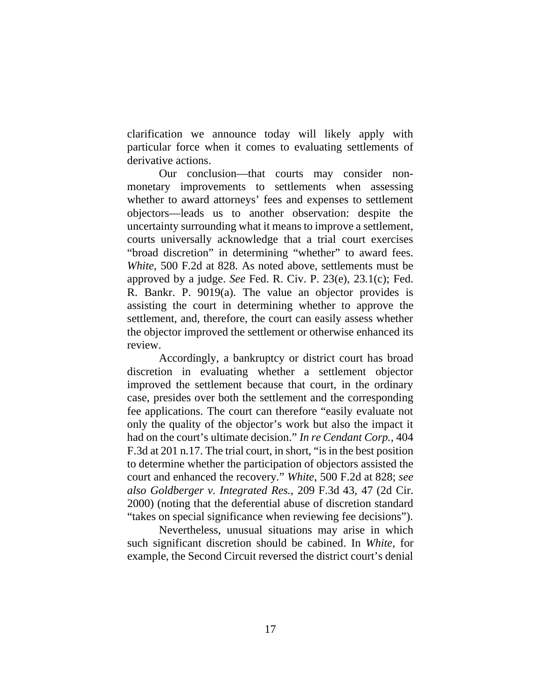clarification we announce today will likely apply with particular force when it comes to evaluating settlements of derivative actions.

Our conclusion—that courts may consider nonmonetary improvements to settlements when assessing whether to award attorneys' fees and expenses to settlement objectors—leads us to another observation: despite the uncertainty surrounding what it means to improve a settlement, courts universally acknowledge that a trial court exercises "broad discretion" in determining "whether" to award fees. *White*, 500 F.2d at 828. As noted above, settlements must be approved by a judge. *See* Fed. R. Civ. P. 23(e), 23.1(c); Fed. R. Bankr. P. 9019(a). The value an objector provides is assisting the court in determining whether to approve the settlement, and, therefore, the court can easily assess whether the objector improved the settlement or otherwise enhanced its review.

Accordingly, a bankruptcy or district court has broad discretion in evaluating whether a settlement objector improved the settlement because that court, in the ordinary case, presides over both the settlement and the corresponding fee applications. The court can therefore "easily evaluate not only the quality of the objector's work but also the impact it had on the court's ultimate decision." *In re Cendant Corp.*, 404 F.3d at 201 n.17. The trial court, in short, "is in the best position to determine whether the participation of objectors assisted the court and enhanced the recovery." *White*, 500 F.2d at 828; *see also Goldberger v. Integrated Res.*, 209 F.3d 43, 47 (2d Cir. 2000) (noting that the deferential abuse of discretion standard "takes on special significance when reviewing fee decisions").

Nevertheless, unusual situations may arise in which such significant discretion should be cabined. In *White*, for example, the Second Circuit reversed the district court's denial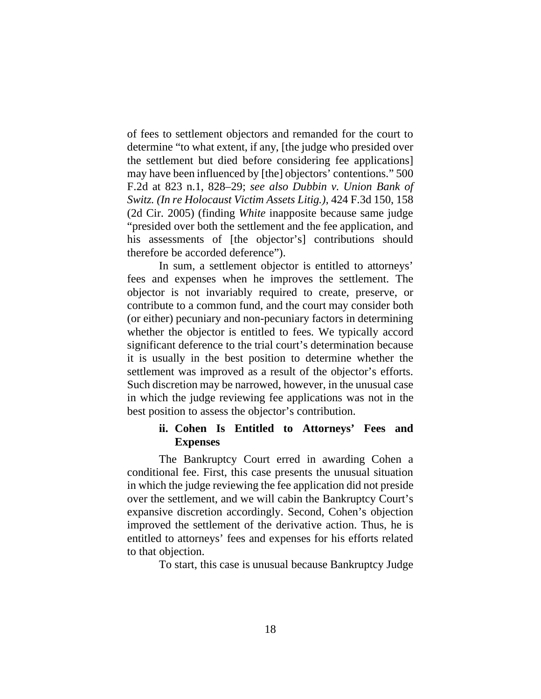of fees to settlement objectors and remanded for the court to determine "to what extent, if any, [the judge who presided over the settlement but died before considering fee applications] may have been influenced by [the] objectors' contentions." 500 F.2d at 823 n.1, 828–29; *see also Dubbin v. Union Bank of Switz. (In re Holocaust Victim Assets Litig.)*, 424 F.3d 150, 158 (2d Cir. 2005) (finding *White* inapposite because same judge "presided over both the settlement and the fee application, and his assessments of [the objector's] contributions should therefore be accorded deference").

In sum, a settlement objector is entitled to attorneys' fees and expenses when he improves the settlement. The objector is not invariably required to create, preserve, or contribute to a common fund, and the court may consider both (or either) pecuniary and non-pecuniary factors in determining whether the objector is entitled to fees. We typically accord significant deference to the trial court's determination because it is usually in the best position to determine whether the settlement was improved as a result of the objector's efforts. Such discretion may be narrowed, however, in the unusual case in which the judge reviewing fee applications was not in the best position to assess the objector's contribution.

## **ii. Cohen Is Entitled to Attorneys' Fees and Expenses**

The Bankruptcy Court erred in awarding Cohen a conditional fee. First, this case presents the unusual situation in which the judge reviewing the fee application did not preside over the settlement, and we will cabin the Bankruptcy Court's expansive discretion accordingly. Second, Cohen's objection improved the settlement of the derivative action. Thus, he is entitled to attorneys' fees and expenses for his efforts related to that objection.

To start, this case is unusual because Bankruptcy Judge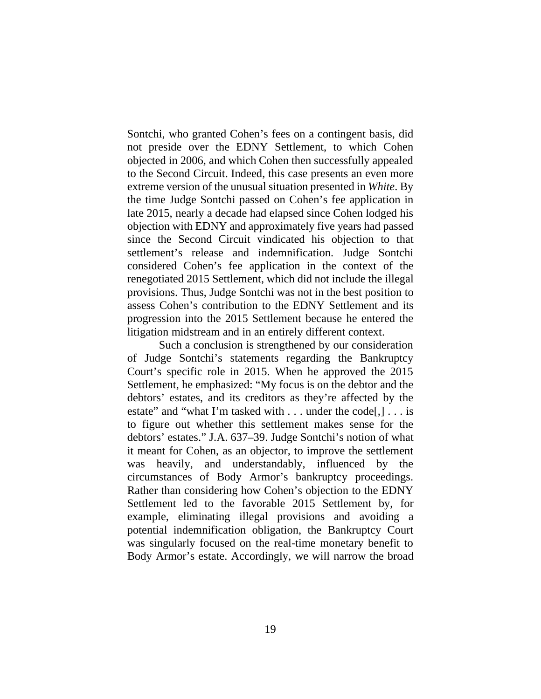Sontchi, who granted Cohen's fees on a contingent basis, did not preside over the EDNY Settlement, to which Cohen objected in 2006, and which Cohen then successfully appealed to the Second Circuit. Indeed, this case presents an even more extreme version of the unusual situation presented in *White*. By the time Judge Sontchi passed on Cohen's fee application in late 2015, nearly a decade had elapsed since Cohen lodged his objection with EDNY and approximately five years had passed since the Second Circuit vindicated his objection to that settlement's release and indemnification. Judge Sontchi considered Cohen's fee application in the context of the renegotiated 2015 Settlement, which did not include the illegal provisions. Thus, Judge Sontchi was not in the best position to assess Cohen's contribution to the EDNY Settlement and its progression into the 2015 Settlement because he entered the litigation midstream and in an entirely different context.

Such a conclusion is strengthened by our consideration of Judge Sontchi's statements regarding the Bankruptcy Court's specific role in 2015. When he approved the 2015 Settlement, he emphasized: "My focus is on the debtor and the debtors' estates, and its creditors as they're affected by the estate" and "what I'm tasked with  $\dots$  under the code[,]  $\dots$  is to figure out whether this settlement makes sense for the debtors' estates." J.A. 637–39. Judge Sontchi's notion of what it meant for Cohen, as an objector, to improve the settlement was heavily, and understandably, influenced by the circumstances of Body Armor's bankruptcy proceedings. Rather than considering how Cohen's objection to the EDNY Settlement led to the favorable 2015 Settlement by, for example, eliminating illegal provisions and avoiding a potential indemnification obligation, the Bankruptcy Court was singularly focused on the real-time monetary benefit to Body Armor's estate. Accordingly, we will narrow the broad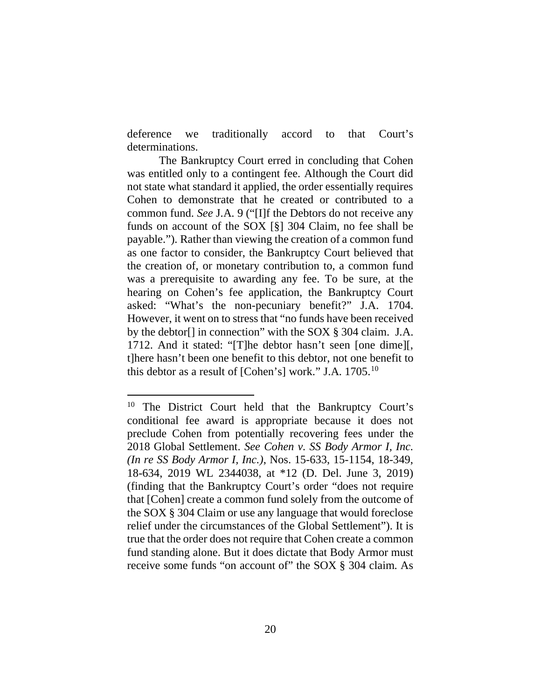deference we traditionally accord to that Court's determinations.

The Bankruptcy Court erred in concluding that Cohen was entitled only to a contingent fee. Although the Court did not state what standard it applied, the order essentially requires Cohen to demonstrate that he created or contributed to a common fund. *See* J.A. 9 ("[I]f the Debtors do not receive any funds on account of the SOX [§] 304 Claim, no fee shall be payable."). Rather than viewing the creation of a common fund as one factor to consider, the Bankruptcy Court believed that the creation of, or monetary contribution to, a common fund was a prerequisite to awarding any fee. To be sure, at the hearing on Cohen's fee application, the Bankruptcy Court asked: "What's the non-pecuniary benefit?" J.A. 1704. However, it went on to stress that "no funds have been received by the debtor[] in connection" with the SOX § 304 claim. J.A. 1712. And it stated: "[T]he debtor hasn't seen [one dime][, t]here hasn't been one benefit to this debtor, not one benefit to this debtor as a result of [Cohen's] work." J.A. 1705.10

<sup>&</sup>lt;sup>10</sup> The District Court held that the Bankruptcy Court's conditional fee award is appropriate because it does not preclude Cohen from potentially recovering fees under the 2018 Global Settlement. *See Cohen v. SS Body Armor I, Inc. (In re SS Body Armor I, Inc.)*, Nos. 15-633, 15-1154, 18-349, 18-634, 2019 WL 2344038, at \*12 (D. Del. June 3, 2019) (finding that the Bankruptcy Court's order "does not require that [Cohen] create a common fund solely from the outcome of the SOX § 304 Claim or use any language that would foreclose relief under the circumstances of the Global Settlement"). It is true that the order does not require that Cohen create a common fund standing alone. But it does dictate that Body Armor must receive some funds "on account of" the SOX § 304 claim. As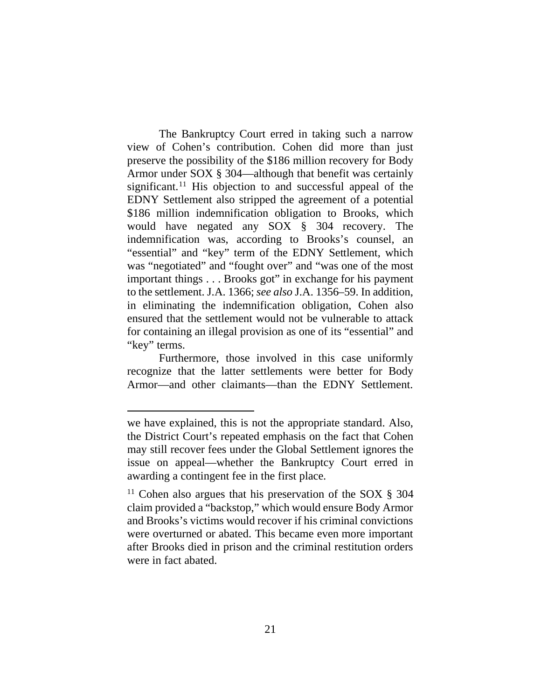The Bankruptcy Court erred in taking such a narrow view of Cohen's contribution. Cohen did more than just preserve the possibility of the \$186 million recovery for Body Armor under SOX § 304—although that benefit was certainly significant.<sup>11</sup> His objection to and successful appeal of the EDNY Settlement also stripped the agreement of a potential \$186 million indemnification obligation to Brooks, which would have negated any SOX § 304 recovery. The indemnification was, according to Brooks's counsel, an "essential" and "key" term of the EDNY Settlement, which was "negotiated" and "fought over" and "was one of the most important things . . . Brooks got" in exchange for his payment to the settlement. J.A. 1366; *see also* J.A. 1356–59. In addition, in eliminating the indemnification obligation, Cohen also ensured that the settlement would not be vulnerable to attack for containing an illegal provision as one of its "essential" and "key" terms.

Furthermore, those involved in this case uniformly recognize that the latter settlements were better for Body Armor—and other claimants—than the EDNY Settlement.

we have explained, this is not the appropriate standard. Also, the District Court's repeated emphasis on the fact that Cohen may still recover fees under the Global Settlement ignores the issue on appeal—whether the Bankruptcy Court erred in awarding a contingent fee in the first place.

<sup>&</sup>lt;sup>11</sup> Cohen also argues that his preservation of the SOX  $\S$  304 claim provided a "backstop," which would ensure Body Armor and Brooks's victims would recover if his criminal convictions were overturned or abated. This became even more important after Brooks died in prison and the criminal restitution orders were in fact abated.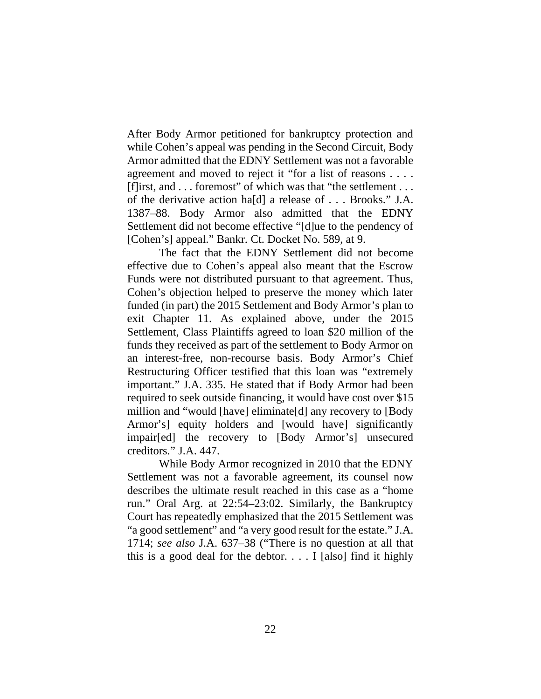After Body Armor petitioned for bankruptcy protection and while Cohen's appeal was pending in the Second Circuit, Body Armor admitted that the EDNY Settlement was not a favorable agreement and moved to reject it "for a list of reasons . . . . [f]irst, and . . . foremost" of which was that "the settlement . . . of the derivative action ha[d] a release of . . . Brooks." J.A. 1387–88. Body Armor also admitted that the EDNY Settlement did not become effective "[d]ue to the pendency of [Cohen's] appeal." Bankr. Ct. Docket No. 589, at 9.

The fact that the EDNY Settlement did not become effective due to Cohen's appeal also meant that the Escrow Funds were not distributed pursuant to that agreement. Thus, Cohen's objection helped to preserve the money which later funded (in part) the 2015 Settlement and Body Armor's plan to exit Chapter 11. As explained above, under the 2015 Settlement, Class Plaintiffs agreed to loan \$20 million of the funds they received as part of the settlement to Body Armor on an interest-free, non-recourse basis. Body Armor's Chief Restructuring Officer testified that this loan was "extremely important." J.A. 335. He stated that if Body Armor had been required to seek outside financing, it would have cost over \$15 million and "would [have] eliminate[d] any recovery to [Body Armor's] equity holders and [would have] significantly impair[ed] the recovery to [Body Armor's] unsecured creditors." J.A. 447.

While Body Armor recognized in 2010 that the EDNY Settlement was not a favorable agreement, its counsel now describes the ultimate result reached in this case as a "home run." Oral Arg. at 22:54–23:02. Similarly, the Bankruptcy Court has repeatedly emphasized that the 2015 Settlement was "a good settlement" and "a very good result for the estate." J.A. 1714; *see also* J.A. 637–38 ("There is no question at all that this is a good deal for the debtor.  $\ldots$  I [also] find it highly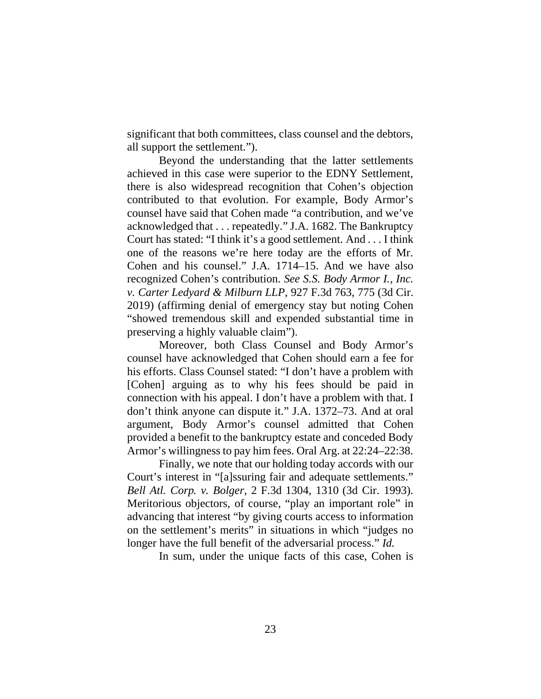significant that both committees, class counsel and the debtors, all support the settlement.").

Beyond the understanding that the latter settlements achieved in this case were superior to the EDNY Settlement, there is also widespread recognition that Cohen's objection contributed to that evolution. For example, Body Armor's counsel have said that Cohen made "a contribution, and we've acknowledged that . . . repeatedly." J.A. 1682. The Bankruptcy Court has stated: "I think it's a good settlement. And . . . I think one of the reasons we're here today are the efforts of Mr. Cohen and his counsel." J.A. 1714–15. And we have also recognized Cohen's contribution. *See S.S. Body Armor I., Inc. v. Carter Ledyard & Milburn LLP*, 927 F.3d 763, 775 (3d Cir. 2019) (affirming denial of emergency stay but noting Cohen "showed tremendous skill and expended substantial time in preserving a highly valuable claim").

Moreover, both Class Counsel and Body Armor's counsel have acknowledged that Cohen should earn a fee for his efforts. Class Counsel stated: "I don't have a problem with [Cohen] arguing as to why his fees should be paid in connection with his appeal. I don't have a problem with that. I don't think anyone can dispute it." J.A. 1372–73. And at oral argument, Body Armor's counsel admitted that Cohen provided a benefit to the bankruptcy estate and conceded Body Armor's willingness to pay him fees. Oral Arg. at 22:24–22:38.

Finally, we note that our holding today accords with our Court's interest in "[a]ssuring fair and adequate settlements." *Bell Atl. Corp. v. Bolger*, 2 F.3d 1304, 1310 (3d Cir. 1993). Meritorious objectors, of course, "play an important role" in advancing that interest "by giving courts access to information on the settlement's merits" in situations in which "judges no longer have the full benefit of the adversarial process." *Id.*

In sum, under the unique facts of this case, Cohen is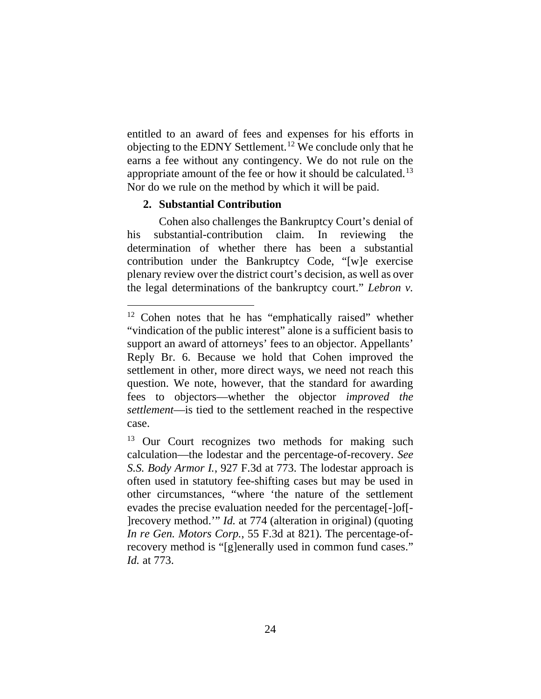entitled to an award of fees and expenses for his efforts in objecting to the EDNY Settlement.12 We conclude only that he earns a fee without any contingency. We do not rule on the appropriate amount of the fee or how it should be calculated.<sup>13</sup> Nor do we rule on the method by which it will be paid.

## **2. Substantial Contribution**

Cohen also challenges the Bankruptcy Court's denial of his substantial-contribution claim. In reviewing the determination of whether there has been a substantial contribution under the Bankruptcy Code, "[w]e exercise plenary review over the district court's decision, as well as over the legal determinations of the bankruptcy court." *Lebron v.* 

<sup>12</sup> Cohen notes that he has "emphatically raised" whether "vindication of the public interest" alone is a sufficient basis to support an award of attorneys' fees to an objector. Appellants' Reply Br. 6. Because we hold that Cohen improved the settlement in other, more direct ways, we need not reach this question. We note, however, that the standard for awarding fees to objectors—whether the objector *improved the settlement*—is tied to the settlement reached in the respective case.

<sup>&</sup>lt;sup>13</sup> Our Court recognizes two methods for making such calculation—the lodestar and the percentage-of-recovery. *See S.S. Body Armor I.*, 927 F.3d at 773. The lodestar approach is often used in statutory fee-shifting cases but may be used in other circumstances, "where 'the nature of the settlement evades the precise evaluation needed for the percentage[-]of[- ]recovery method.'" *Id.* at 774 (alteration in original) (quoting *In re Gen. Motors Corp.*, 55 F.3d at 821). The percentage-ofrecovery method is "[g]enerally used in common fund cases." *Id.* at 773.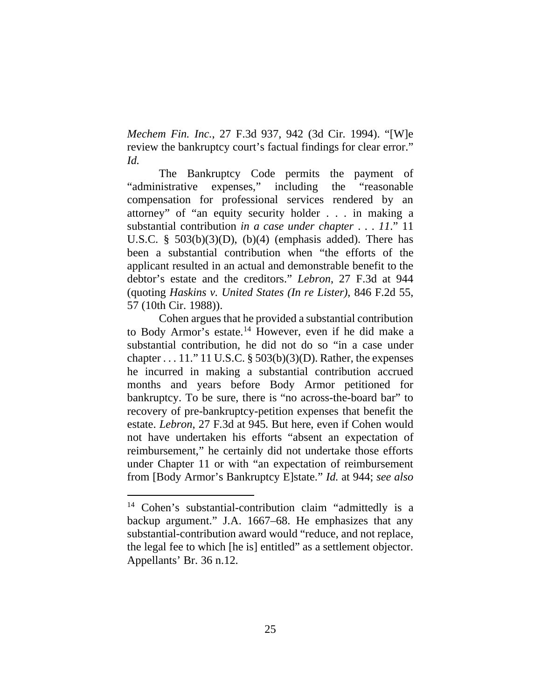*Mechem Fin. Inc.*, 27 F.3d 937, 942 (3d Cir. 1994). "[W]e review the bankruptcy court's factual findings for clear error." *Id.*

The Bankruptcy Code permits the payment of "administrative expenses," including the "reasonable compensation for professional services rendered by an attorney" of "an equity security holder . . . in making a substantial contribution *in a case under chapter* . . . *11*." 11 U.S.C. §  $503(b)(3)(D)$ ,  $(b)(4)$  (emphasis added). There has been a substantial contribution when "the efforts of the applicant resulted in an actual and demonstrable benefit to the debtor's estate and the creditors." *Lebron*, 27 F.3d at 944 (quoting *Haskins v. United States (In re Lister)*, 846 F.2d 55, 57 (10th Cir. 1988)).

Cohen argues that he provided a substantial contribution to Body Armor's estate.14 However, even if he did make a substantial contribution, he did not do so "in a case under chapter  $\dots$  11." 11 U.S.C. § 503(b)(3)(D). Rather, the expenses he incurred in making a substantial contribution accrued months and years before Body Armor petitioned for bankruptcy. To be sure, there is "no across-the-board bar" to recovery of pre-bankruptcy-petition expenses that benefit the estate. *Lebron*, 27 F.3d at 945. But here, even if Cohen would not have undertaken his efforts "absent an expectation of reimbursement," he certainly did not undertake those efforts under Chapter 11 or with "an expectation of reimbursement from [Body Armor's Bankruptcy E]state." *Id.* at 944; *see also* 

<sup>14</sup> Cohen's substantial-contribution claim "admittedly is a backup argument." J.A. 1667–68. He emphasizes that any substantial-contribution award would "reduce, and not replace, the legal fee to which [he is] entitled" as a settlement objector. Appellants' Br. 36 n.12.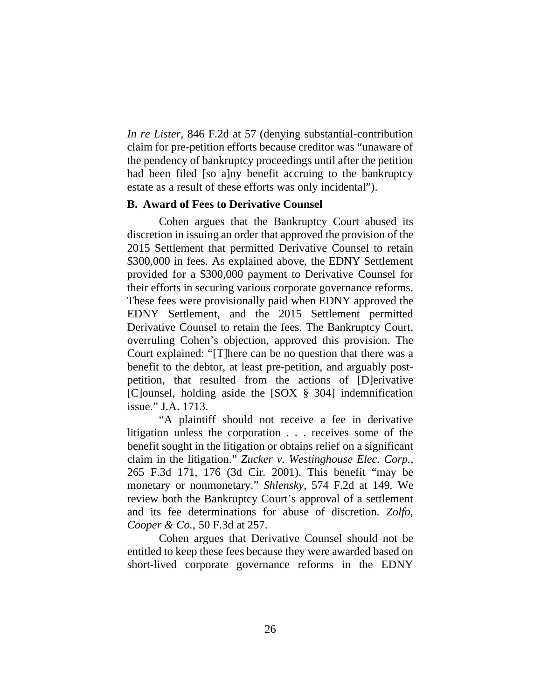*In re Lister*, 846 F.2d at 57 (denying substantial-contribution claim for pre-petition efforts because creditor was "unaware of the pendency of bankruptcy proceedings until after the petition had been filed [so a]ny benefit accruing to the bankruptcy estate as a result of these efforts was only incidental").

## **B. Award of Fees to Derivative Counsel**

Cohen argues that the Bankruptcy Court abused its discretion in issuing an order that approved the provision of the 2015 Settlement that permitted Derivative Counsel to retain \$300,000 in fees. As explained above, the EDNY Settlement provided for a \$300,000 payment to Derivative Counsel for their efforts in securing various corporate governance reforms. These fees were provisionally paid when EDNY approved the EDNY Settlement, and the 2015 Settlement permitted Derivative Counsel to retain the fees. The Bankruptcy Court, overruling Cohen's objection, approved this provision. The Court explained: "[T]here can be no question that there was a benefit to the debtor, at least pre-petition, and arguably postpetition, that resulted from the actions of [D]erivative [C]ounsel, holding aside the [SOX § 304] indemnification issue." J.A. 1713.

"A plaintiff should not receive a fee in derivative litigation unless the corporation . . . receives some of the benefit sought in the litigation or obtains relief on a significant claim in the litigation." *Zucker v. Westinghouse Elec. Corp.*, 265 F.3d 171, 176 (3d Cir. 2001). This benefit "may be monetary or nonmonetary." *Shlensky*, 574 F.2d at 149. We review both the Bankruptcy Court's approval of a settlement and its fee determinations for abuse of discretion. *Zolfo, Cooper & Co.*, 50 F.3d at 257.

Cohen argues that Derivative Counsel should not be entitled to keep these fees because they were awarded based on short-lived corporate governance reforms in the EDNY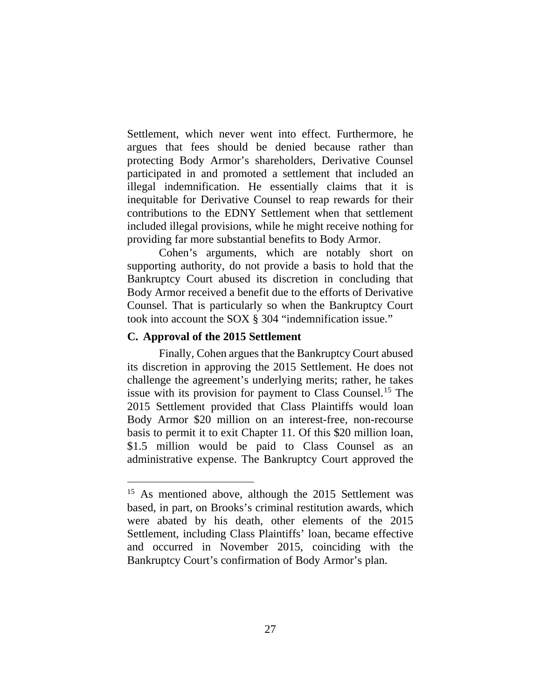Settlement, which never went into effect. Furthermore, he argues that fees should be denied because rather than protecting Body Armor's shareholders, Derivative Counsel participated in and promoted a settlement that included an illegal indemnification. He essentially claims that it is inequitable for Derivative Counsel to reap rewards for their contributions to the EDNY Settlement when that settlement included illegal provisions, while he might receive nothing for providing far more substantial benefits to Body Armor.

Cohen's arguments, which are notably short on supporting authority, do not provide a basis to hold that the Bankruptcy Court abused its discretion in concluding that Body Armor received a benefit due to the efforts of Derivative Counsel. That is particularly so when the Bankruptcy Court took into account the SOX § 304 "indemnification issue."

## **C. Approval of the 2015 Settlement**

Finally, Cohen argues that the Bankruptcy Court abused its discretion in approving the 2015 Settlement. He does not challenge the agreement's underlying merits; rather, he takes issue with its provision for payment to Class Counsel.<sup>15</sup> The 2015 Settlement provided that Class Plaintiffs would loan Body Armor \$20 million on an interest-free, non-recourse basis to permit it to exit Chapter 11. Of this \$20 million loan, \$1.5 million would be paid to Class Counsel as an administrative expense. The Bankruptcy Court approved the

<sup>&</sup>lt;sup>15</sup> As mentioned above, although the 2015 Settlement was based, in part, on Brooks's criminal restitution awards, which were abated by his death, other elements of the 2015 Settlement, including Class Plaintiffs' loan, became effective and occurred in November 2015, coinciding with the Bankruptcy Court's confirmation of Body Armor's plan.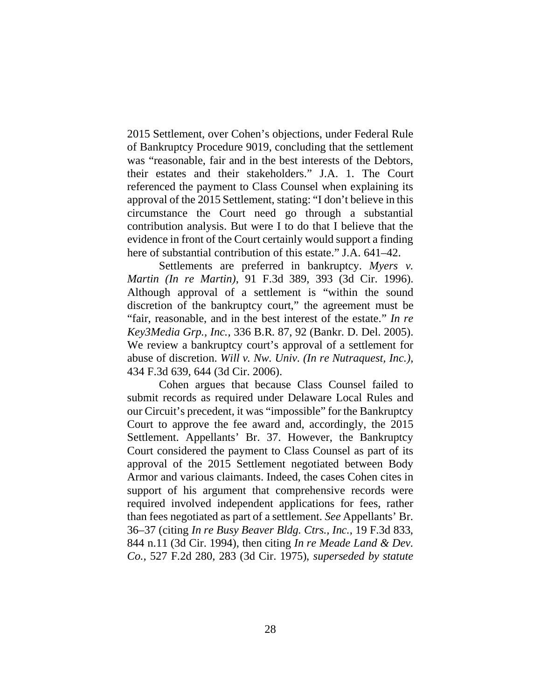2015 Settlement, over Cohen's objections, under Federal Rule of Bankruptcy Procedure 9019, concluding that the settlement was "reasonable, fair and in the best interests of the Debtors, their estates and their stakeholders." J.A. 1. The Court referenced the payment to Class Counsel when explaining its approval of the 2015 Settlement, stating: "I don't believe in this circumstance the Court need go through a substantial contribution analysis. But were I to do that I believe that the evidence in front of the Court certainly would support a finding here of substantial contribution of this estate." J.A. 641–42.

Settlements are preferred in bankruptcy. *Myers v. Martin (In re Martin)*, 91 F.3d 389, 393 (3d Cir. 1996). Although approval of a settlement is "within the sound discretion of the bankruptcy court," the agreement must be "fair, reasonable, and in the best interest of the estate." *In re Key3Media Grp., Inc.*, 336 B.R. 87, 92 (Bankr. D. Del. 2005). We review a bankruptcy court's approval of a settlement for abuse of discretion. *Will v. Nw. Univ. (In re Nutraquest, Inc.)*, 434 F.3d 639, 644 (3d Cir. 2006).

Cohen argues that because Class Counsel failed to submit records as required under Delaware Local Rules and our Circuit's precedent, it was "impossible" for the Bankruptcy Court to approve the fee award and, accordingly, the 2015 Settlement. Appellants' Br. 37. However, the Bankruptcy Court considered the payment to Class Counsel as part of its approval of the 2015 Settlement negotiated between Body Armor and various claimants. Indeed, the cases Cohen cites in support of his argument that comprehensive records were required involved independent applications for fees, rather than fees negotiated as part of a settlement. *See* Appellants' Br. 36–37 (citing *In re Busy Beaver Bldg. Ctrs., Inc.*, 19 F.3d 833, 844 n.11 (3d Cir. 1994), then citing *In re Meade Land & Dev. Co.*, 527 F.2d 280, 283 (3d Cir. 1975), *superseded by statute*